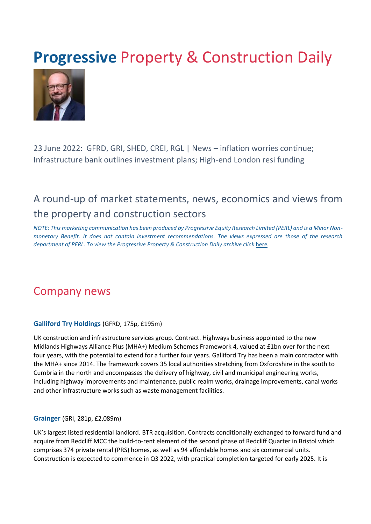# **Progressive Property & Construction Daily**



23 June 2022: GFRD, GRI, SHED, CREI, RGL | News – inflation worries continue; Infrastructure bank outlines investment plans; High-end London resi funding

## A round-up of market statements, news, economics and views from the property and construction sectors

*NOTE: This marketing communication has been produced by Progressive Equity Research Limited (PERL) and is a Minor Nonmonetary Benefit. It does not contain investment recommendations. The views expressed are those of the research department of PERL. To view the Progressive Property & Construction Daily archive cli[ck](https://www.progressive-research.com/industry-updates/?analyst=§or=38&published=all)* [here](https://www.progressive-research.com/industry-updates/?analyst=§or=38&published=all)*[.](https://www.progressive-research.com/industry-updates/?analyst=§or=38&published=all)*

### Company news

#### **Galliford Try Holdings** (GFRD, 175p, £195m)

UK construction and infrastructure services group. Contract. Highways business appointed to the new Midlands Highways Alliance Plus (MHA+) Medium Schemes Framework 4, valued at £1bn over for the next four years, with the potential to extend for a further four years. Galliford Try has been a main contractor with the MHA+ since 2014. The framework covers 35 local authorities stretching from Oxfordshire in the south to Cumbria in the north and encompasses the delivery of highway, civil and municipal engineering works, including highway improvements and maintenance, public realm works, drainage improvements, canal works and other infrastructure works such as waste management facilities.

#### **Grainger** (GRI, 281p, £2,089m)

UK's largest listed residential landlord. BTR acquisition. Contracts conditionally exchanged to forward fund and acquire from Redcliff MCC the build-to-rent element of the second phase of Redcliff Quarter in Bristol which comprises 374 private rental (PRS) homes, as well as 94 affordable homes and six commercial units. Construction is expected to commence in Q3 2022, with practical completion targeted for early 2025. It is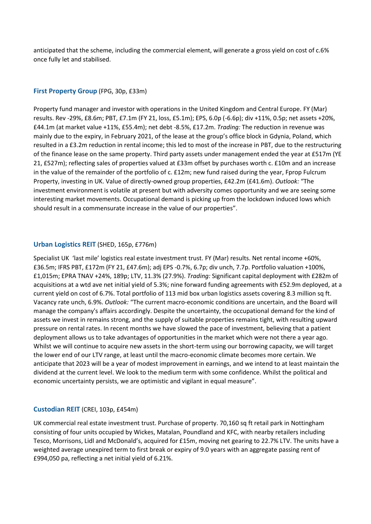anticipated that the scheme, including the commercial element, will generate a gross yield on cost of c.6% once fully let and stabilised.

#### **First Property Group** (FPG, 30p, £33m)

Property fund manager and investor with operations in the United Kingdom and Central Europe. FY (Mar) results. Rev -29%, £8.6m; PBT, £7.1m (FY 21, loss, £5.1m); EPS, 6.0p (-6.6p); div +11%, 0.5p; net assets +20%, £44.1m (at market value +11%, £55.4m); net debt -8.5%, £17.2m. *Trading:* The reduction in revenue was mainly due to the expiry, in February 2021, of the lease at the group's office block in Gdynia, Poland, which resulted in a £3.2m reduction in rental income; this led to most of the increase in PBT, due to the restructuring of the finance lease on the same property. Third party assets under management ended the year at £517m (YE 21, £527m); reflecting sales of properties valued at £33m offset by purchases worth c. £10m and an increase in the value of the remainder of the portfolio of c. £12m; new fund raised during the year, Fprop Fulcrum Property, investing in UK. Value of directly-owned group properties, £42.2m (£41.6m). *Outlook:* "The investment environment is volatile at present but with adversity comes opportunity and we are seeing some interesting market movements. Occupational demand is picking up from the lockdown induced lows which should result in a commensurate increase in the value of our properties".

#### **Urban Logistics REIT** (SHED, 165p, £776m)

Specialist UK 'last mile' logistics real estate investment trust. FY (Mar) results. Net rental income +60%, £36.5m; IFRS PBT, £172m (FY 21, £47.6m); adj EPS -0.7%, 6.7p; div unch, 7.7p. Portfolio valuation +100%, £1,015m; EPRA TNAV +24%, 189p; LTV, 11.3% (27.9%). *Trading:* Significant capital deployment with £282m of acquisitions at a wtd ave net initial yield of 5.3%; nine forward funding agreements with £52.9m deployed, at a current yield on cost of 6.7%. Total portfolio of 113 mid box urban logistics assets covering 8.3 million sq ft. Vacancy rate unch, 6.9%. *Outlook:* "The current macro-economic conditions are uncertain, and the Board will manage the company's affairs accordingly. Despite the uncertainty, the occupational demand for the kind of assets we invest in remains strong, and the supply of suitable properties remains tight, with resulting upward pressure on rental rates. In recent months we have slowed the pace of investment, believing that a patient deployment allows us to take advantages of opportunities in the market which were not there a year ago. Whilst we will continue to acquire new assets in the short-term using our borrowing capacity, we will target the lower end of our LTV range, at least until the macro-economic climate becomes more certain. We anticipate that 2023 will be a year of modest improvement in earnings, and we intend to at least maintain the dividend at the current level. We look to the medium term with some confidence. Whilst the political and economic uncertainty persists, we are optimistic and vigilant in equal measure".

#### **Custodian REIT** (CREI, 103p, £454m)

UK commercial real estate investment trust. Purchase of property. 70,160 sq ft retail park in Nottingham consisting of four units occupied by Wickes, Matalan, Poundland and KFC, with nearby retailers including Tesco, Morrisons, Lidl and McDonald's, acquired for £15m, moving net gearing to 22.7% LTV. The units have a weighted average unexpired term to first break or expiry of 9.0 years with an aggregate passing rent of £994,050 pa, reflecting a net initial yield of 6.21%.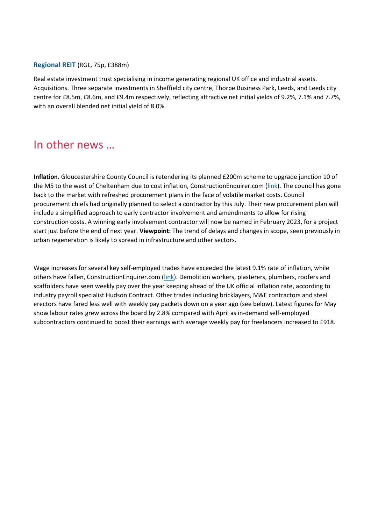#### **Regional REIT** (RGL, 75p, £388m)

Real estate investment trust specialising in income generating regional UK office and industrial assets. Acquisitions. Three separate investments in Sheffield city centre, Thorpe Business Park, Leeds, and Leeds city centre for £8.5m, £8.6m, and £9.4m respectively, reflecting attractive net initial yields of 9.2%, 7.1% and 7.7%, with an overall blended net initial yield of 8.0%.

### In other news …

**Inflation.** Gloucestershire County Council is retendering its planned £200m scheme to upgrade junction 10 of the M5 to the west of Cheltenham due to cost inflation, ConstructionEnquirer.com [\(link\)](https://www.constructionenquirer.com/2022/06/23/cost-inflation-forces-200m-m5-jnct-10-bid-rethink/). The council has gone back to the market with refreshed procurement plans in the face of volatile market costs. Council procurement chiefs had originally planned to select a contractor by this July. Their new procurement plan will include a simplified approach to early contractor involvement and amendments to allow for rising construction costs. A winning early involvement contractor will now be named in February 2023, for a project start just before the end of next year. **Viewpoint:** The trend of delays and changes in scope, seen previously in urban regeneration is likely to spread in infrastructure and other sectors.

Wage increases for several key self-employed trades have exceeded the latest 9.1% rate of inflation, while others have fallen, ConstructionEnquirer.com [\(link\)](https://www.constructionenquirer.com/2022/06/23/wages-among-key-trades-keep-up-with-cost-of-living-rise/). Demolition workers, plasterers, plumbers, roofers and scaffolders have seen weekly pay over the year keeping ahead of the UK official inflation rate, according to industry payroll specialist Hudson Contract. Other trades including bricklayers, M&E contractors and steel erectors have fared less well with weekly pay packets down on a year ago (see below). Latest figures for May show labour rates grew across the board by 2.8% compared with April as in-demand self-employed subcontractors continued to boost their earnings with average weekly pay for freelancers increased to £918.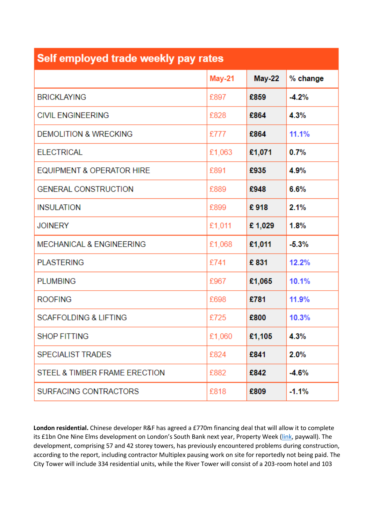| Self employed trade weekly pay rates |               |        |          |
|--------------------------------------|---------------|--------|----------|
|                                      | <b>May-21</b> | May-22 | % change |
| <b>BRICKLAYING</b>                   | £897          | £859   | $-4.2%$  |
| <b>CIVIL ENGINEERING</b>             | £828          | £864   | 4.3%     |
| <b>DEMOLITION &amp; WRECKING</b>     | £777          | £864   | 11.1%    |
| <b>ELECTRICAL</b>                    | £1,063        | £1,071 | 0.7%     |
| EQUIPMENT & OPERATOR HIRE            | £891          | £935   | 4.9%     |
| <b>GENERAL CONSTRUCTION</b>          | £889          | £948   | 6.6%     |
| <b>INSULATION</b>                    | £899          | £918   | 2.1%     |
| <b>JOINERY</b>                       | £1,011        | £1,029 | 1.8%     |
| <b>MECHANICAL &amp; ENGINEERING</b>  | £1,068        | £1,011 | $-5.3%$  |
| <b>PLASTERING</b>                    | £741          | £831   | 12.2%    |
| <b>PLUMBING</b>                      | £967          | £1,065 | 10.1%    |
| <b>ROOFING</b>                       | £698          | £781   | 11.9%    |
| <b>SCAFFOLDING &amp; LIFTING</b>     | £725          | £800   | 10.3%    |
| <b>SHOP FITTING</b>                  | £1,060        | £1,105 | 4.3%     |
| <b>SPECIALIST TRADES</b>             | £824          | £841   | 2.0%     |
| STEEL & TIMBER FRAME ERECTION        | £882          | £842   | $-4.6%$  |
| SURFACING CONTRACTORS                | £818          | £809   | $-1.1%$  |

**London residential.** Chinese developer R&F has agreed a £770m financing deal that will allow it to complete its £1bn One Nine Elms development on London's South Bank next year, Property Week [\(link,](https://www.propertyweek.com/news/randf-secures-770m-funding-rescue-package-for-one-nine-elms/5120964.article) paywall). The development, comprising 57 and 42 storey towers, has previously encountered problems during construction, according to the report, including contractor Multiplex pausing work on site for reportedly not being paid. The City Tower will include 334 residential units, while the River Tower will consist of a 203-room hotel and 103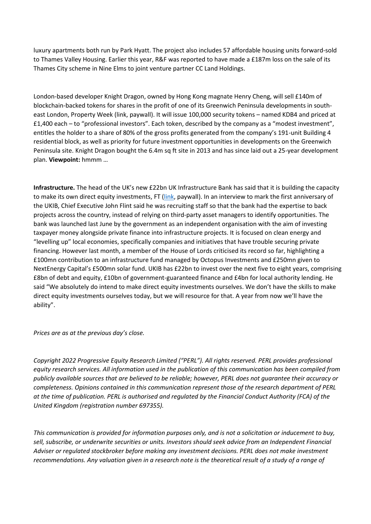luxury apartments both run by Park Hyatt. The project also includes 57 affordable housing units forward-sold to Thames Valley Housing. Earlier this year, R&F was reported to have made a £187m loss on the sale of its Thames City scheme in Nine Elms to joint venture partner CC Land Holdings.

London-based developer Knight Dragon, owned by Hong Kong magnate Henry Cheng, will sell £140m of blockchain-backed tokens for shares in the profit of one of its Greenwich Peninsula developments in southeast London, Property Week (link, paywall). It will issue 100,000 security tokens – named KDB4 and priced at £1,400 each – to "professional investors". Each token, described by the company as a "modest investment", entitles the holder to a share of 80% of the gross profits generated from the company's 191-unit Building 4 residential block, as well as priority for future investment opportunities in developments on the Greenwich Peninsula site. Knight Dragon bought the 6.4m sq ft site in 2013 and has since laid out a 25-year development plan. **Viewpoint:** hmmm …

**Infrastructure.** The head of the UK's new £22bn UK Infrastructure Bank has said that it is building the capacity to make its own direct equity investments, FT [\(link,](https://www.ft.com/content/e97909e3-2794-4d11-bb3d-8996081dabc9) paywall). In an interview to mark the first anniversary of the UKIB, Chief Executive John Flint said he was recruiting staff so that the bank had the expertise to back projects across the country, instead of relying on third-party asset managers to identify opportunities. The bank was launched last June by the government as an independent organisation with the aim of investing taxpayer money alongside private finance into infrastructure projects. It is focused on clean energy and "levelling up" local economies, specifically companies and initiatives that have trouble securing private financing. However last month, a member of the House of Lords criticised its record so far, highlighting a £100mn contribution to an infrastructure fund managed by Octopus Investments and £250mn given to NextEnergy Capital's £500mn solar fund. UKIB has £22bn to invest over the next five to eight years, comprising £8bn of debt and equity, £10bn of government-guaranteed finance and £4bn for local authority lending. He said "We absolutely do intend to make direct equity investments ourselves. We don't have the skills to make direct equity investments ourselves today, but we will resource for that. A year from now we'll have the ability".

*Prices are as at the previous day's close.* 

*Copyright 2022 Progressive Equity Research Limited ("PERL"). All rights reserved. PERL provides professional equity research services. All information used in the publication of this communication has been compiled from publicly available sources that are believed to be reliable; however, PERL does not guarantee their accuracy or completeness. Opinions contained in this communication represent those of the research department of PERL at the time of publication. PERL is authorised and regulated by the Financial Conduct Authority (FCA) of the United Kingdom (registration number 697355).* 

*This communication is provided for information purposes only, and is not a solicitation or inducement to buy,*  sell, subscribe, or underwrite securities or units. Investors should seek advice from an Independent Financial *Adviser or regulated stockbroker before making any investment decisions. PERL does not make investment recommendations. Any valuation given in a research note is the theoretical result of a study of a range of*